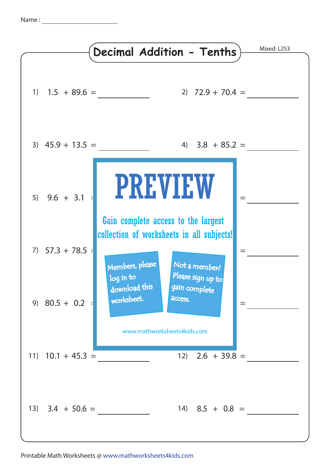